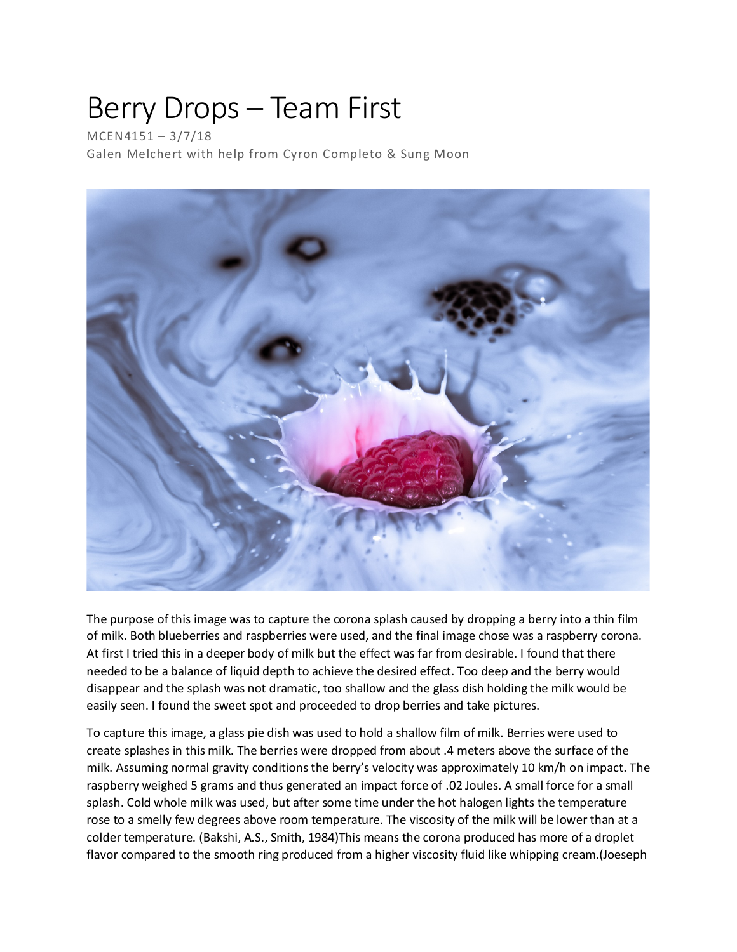## Berry Drops – Team First

MCEN4151 – 3/7/18 Galen Melchert with help from Cyron Completo & Sung Moon



The purpose of this image was to capture the corona splash caused by dropping a berry into a thin film of milk. Both blueberries and raspberries were used, and the final image chose was a raspberry corona. At first I tried this in a deeper body of milk but the effect was far from desirable. I found that there needed to be a balance of liquid depth to achieve the desired effect. Too deep and the berry would disappear and the splash was not dramatic, too shallow and the glass dish holding the milk would be easily seen. I found the sweet spot and proceeded to drop berries and take pictures.

To capture this image, a glass pie dish was used to hold a shallow film of milk. Berries were used to create splashes in this milk. The berries were dropped from about .4 meters above the surface of the milk. Assuming normal gravity conditions the berry's velocity was approximately 10 km/h on impact. The raspberry weighed 5 grams and thus generated an impact force of .02 Joules. A small force for a small splash. Cold whole milk was used, but after some time under the hot halogen lights the temperature rose to a smelly few degrees above room temperature. The viscosity of the milk will be lower than at a colder temperature. (Bakshi, A.S., Smith, 1984)This means the corona produced has more of a droplet flavor compared to the smooth ring produced from a higher viscosity fluid like whipping cream.(Joeseph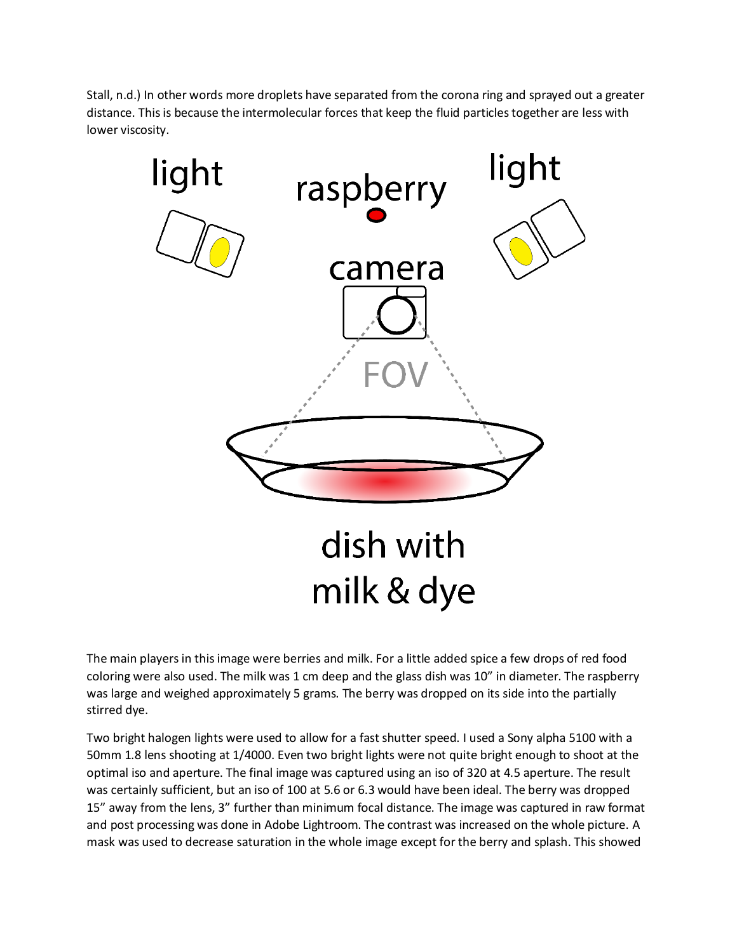Stall, n.d.) In other words more droplets have separated from the corona ring and sprayed out a greater distance. This is because the intermolecular forces that keep the fluid particles together are less with lower viscosity.



The main players in this image were berries and milk. For a little added spice a few drops of red food coloring were also used. The milk was 1 cm deep and the glass dish was 10" in diameter. The raspberry was large and weighed approximately 5 grams. The berry was dropped on its side into the partially stirred dye.

Two bright halogen lights were used to allow for a fast shutter speed. I used a Sony alpha 5100 with a 50mm 1.8 lens shooting at 1/4000. Even two bright lights were not quite bright enough to shoot at the optimal iso and aperture. The final image was captured using an iso of 320 at 4.5 aperture. The result was certainly sufficient, but an iso of 100 at 5.6 or 6.3 would have been ideal. The berry was dropped 15" away from the lens, 3" further than minimum focal distance. The image was captured in raw format and post processing was done in Adobe Lightroom. The contrast was increased on the whole picture. A mask was used to decrease saturation in the whole image except for the berry and splash. This showed